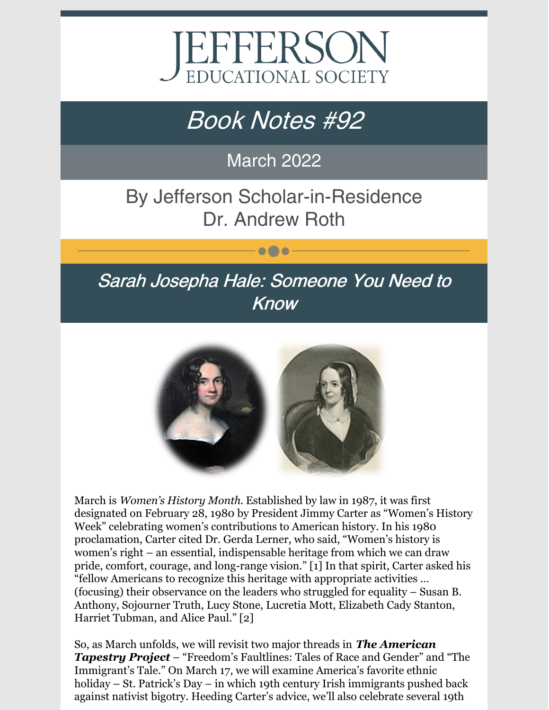

# Book Notes #92

March 2022

By Jefferson Scholar-in-Residence Dr. Andrew Roth

 $\bullet\bullet\bullet$ 

### Sarah Josepha Hale: Someone You Need to Know



March is *Women's History Month*. Established by law in 1987, it was first designated on February 28, 1980 by President Jimmy Carter as "Women's History Week" celebrating women's contributions to American history. In his 1980 proclamation, Carter cited Dr. Gerda Lerner, who said, "Women's history is women's right – an essential, indispensable heritage from which we can draw pride, comfort, courage, and long-range vision." [1] In that spirit, Carter asked his "fellow Americans to recognize this heritage with appropriate activities … (focusing) their observance on the leaders who struggled for equality – Susan B. Anthony, Sojourner Truth, Lucy Stone, Lucretia Mott, Elizabeth Cady Stanton, Harriet Tubman, and Alice Paul." [2]

So, as March unfolds, we will revisit two major threads in *The American Tapestry Project* – "Freedom's Faultlines: Tales of Race and Gender" and "The Immigrant's Tale." On March 17, we will examine America's favorite ethnic holiday – St. Patrick's Day – in which 19th century Irish immigrants pushed back against nativist bigotry. Heeding Carter's advice, we'll also celebrate several 19th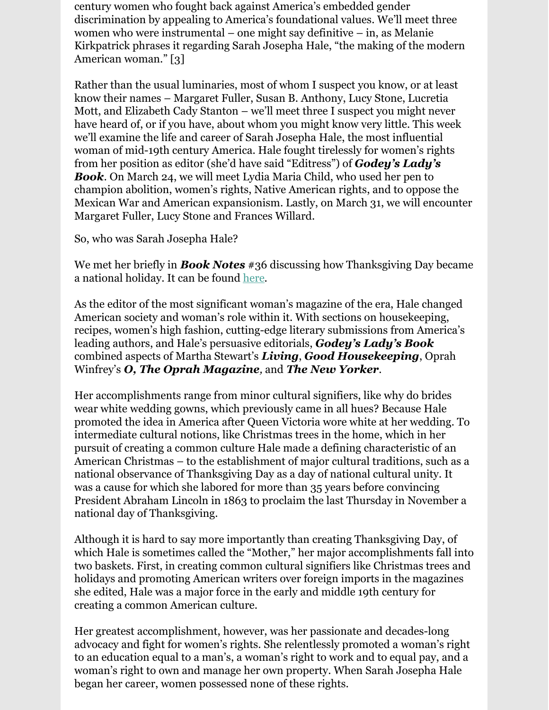century women who fought back against America's embedded gender discrimination by appealing to America's foundational values. We'll meet three women who were instrumental – one might say definitive – in, as Melanie Kirkpatrick phrases it regarding Sarah Josepha Hale, "the making of the modern American woman." [3]

Rather than the usual luminaries, most of whom I suspect you know, or at least know their names – Margaret Fuller, Susan B. Anthony, Lucy Stone, Lucretia Mott, and Elizabeth Cady Stanton – we'll meet three I suspect you might never have heard of, or if you have, about whom you might know very little. This week we'll examine the life and career of Sarah Josepha Hale, the most influential woman of mid-19th century America. Hale fought tirelessly for women's rights from her position as editor (she'd have said "Editress") of *Godey's Lady's Book*. On March 24, we will meet Lydia Maria Child, who used her pen to champion abolition, women's rights, Native American rights, and to oppose the Mexican War and American expansionism. Lastly, on March 31, we will encounter Margaret Fuller, Lucy Stone and Frances Willard.

So, who was Sarah Josepha Hale?

We met her briefly in *Book Notes* #36 discussing how Thanksgiving Day became a national holiday. It can be found [here](https://www.jeserie.org/uploads/Happy Thanksgiving Book Notes.pdf).

As the editor of the most significant woman's magazine of the era, Hale changed American society and woman's role within it. With sections on housekeeping, recipes, women's high fashion, cutting-edge literary submissions from America's leading authors, and Hale's persuasive editorials, *Godey's Lady's Book* combined aspects of Martha Stewart's *Living*, *Good Housekeeping*, Oprah Winfrey's *O, The Oprah Magazine,* and *The New Yorker*.

Her accomplishments range from minor cultural signifiers, like why do brides wear white wedding gowns, which previously came in all hues? Because Hale promoted the idea in America after Queen Victoria wore white at her wedding. To intermediate cultural notions, like Christmas trees in the home, which in her pursuit of creating a common culture Hale made a defining characteristic of an American Christmas – to the establishment of major cultural traditions, such as a national observance of Thanksgiving Day as a day of national cultural unity. It was a cause for which she labored for more than 35 years before convincing President Abraham Lincoln in 1863 to proclaim the last Thursday in November a national day of Thanksgiving.

Although it is hard to say more importantly than creating Thanksgiving Day, of which Hale is sometimes called the "Mother," her major accomplishments fall into two baskets. First, in creating common cultural signifiers like Christmas trees and holidays and promoting American writers over foreign imports in the magazines she edited, Hale was a major force in the early and middle 19th century for creating a common American culture.

Her greatest accomplishment, however, was her passionate and decades-long advocacy and fight for women's rights. She relentlessly promoted a woman's right to an education equal to a man's, a woman's right to work and to equal pay, and a woman's right to own and manage her own property. When Sarah Josepha Hale began her career, women possessed none of these rights.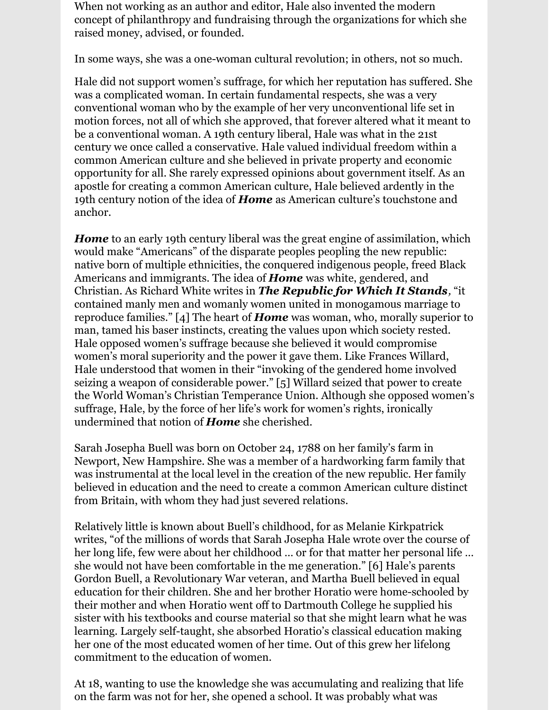When not working as an author and editor, Hale also invented the modern concept of philanthropy and fundraising through the organizations for which she raised money, advised, or founded.

In some ways, she was a one-woman cultural revolution; in others, not so much.

Hale did not support women's suffrage, for which her reputation has suffered. She was a complicated woman. In certain fundamental respects, she was a very conventional woman who by the example of her very unconventional life set in motion forces, not all of which she approved, that forever altered what it meant to be a conventional woman. A 19th century liberal, Hale was what in the 21st century we once called a conservative. Hale valued individual freedom within a common American culture and she believed in private property and economic opportunity for all. She rarely expressed opinions about government itself. As an apostle for creating a common American culture, Hale believed ardently in the 19th century notion of the idea of *Home* as American culture's touchstone and anchor.

*Home* to an early 19th century liberal was the great engine of assimilation, which would make "Americans" of the disparate peoples peopling the new republic: native born of multiple ethnicities, the conquered indigenous people, freed Black Americans and immigrants. The idea of *Home* was white, gendered, and Christian. As Richard White writes in *The Republic for Which It Stands,* "it contained manly men and womanly women united in monogamous marriage to reproduce families." [4] The heart of *Home* was woman, who, morally superior to man, tamed his baser instincts, creating the values upon which society rested. Hale opposed women's suffrage because she believed it would compromise women's moral superiority and the power it gave them. Like Frances Willard, Hale understood that women in their "invoking of the gendered home involved seizing a weapon of considerable power." [5] Willard seized that power to create the World Woman's Christian Temperance Union. Although she opposed women's suffrage, Hale, by the force of her life's work for women's rights, ironically undermined that notion of *Home* she cherished.

Sarah Josepha Buell was born on October 24, 1788 on her family's farm in Newport, New Hampshire. She was a member of a hardworking farm family that was instrumental at the local level in the creation of the new republic. Her family believed in education and the need to create a common American culture distinct from Britain, with whom they had just severed relations.

Relatively little is known about Buell's childhood, for as Melanie Kirkpatrick writes, "of the millions of words that Sarah Josepha Hale wrote over the course of her long life, few were about her childhood … or for that matter her personal life … she would not have been comfortable in the me generation." [6] Hale's parents Gordon Buell, a Revolutionary War veteran, and Martha Buell believed in equal education for their children. She and her brother Horatio were home-schooled by their mother and when Horatio went off to Dartmouth College he supplied his sister with his textbooks and course material so that she might learn what he was learning. Largely self-taught, she absorbed Horatio's classical education making her one of the most educated women of her time. Out of this grew her lifelong commitment to the education of women.

At 18, wanting to use the knowledge she was accumulating and realizing that life on the farm was not for her, she opened a school. It was probably what was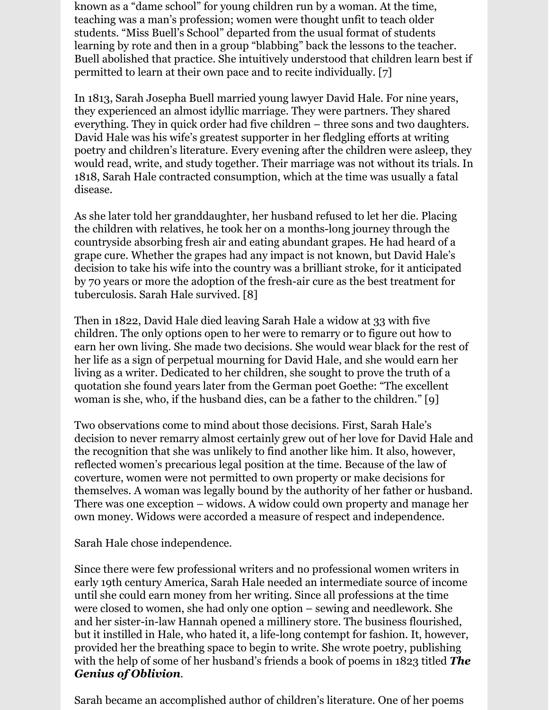known as a "dame school" for young children run by a woman. At the time, teaching was a man's profession; women were thought unfit to teach older students. "Miss Buell's School" departed from the usual format of students learning by rote and then in a group "blabbing" back the lessons to the teacher. Buell abolished that practice. She intuitively understood that children learn best if permitted to learn at their own pace and to recite individually. [7]

In 1813, Sarah Josepha Buell married young lawyer David Hale. For nine years, they experienced an almost idyllic marriage. They were partners. They shared everything. They in quick order had five children – three sons and two daughters. David Hale was his wife's greatest supporter in her fledgling efforts at writing poetry and children's literature. Every evening after the children were asleep, they would read, write, and study together. Their marriage was not without its trials. In 1818, Sarah Hale contracted consumption, which at the time was usually a fatal disease.

As she later told her granddaughter, her husband refused to let her die. Placing the children with relatives, he took her on a months-long journey through the countryside absorbing fresh air and eating abundant grapes. He had heard of a grape cure. Whether the grapes had any impact is not known, but David Hale's decision to take his wife into the country was a brilliant stroke, for it anticipated by 70 years or more the adoption of the fresh-air cure as the best treatment for tuberculosis. Sarah Hale survived. [8]

Then in 1822, David Hale died leaving Sarah Hale a widow at 33 with five children. The only options open to her were to remarry or to figure out how to earn her own living. She made two decisions. She would wear black for the rest of her life as a sign of perpetual mourning for David Hale, and she would earn her living as a writer. Dedicated to her children, she sought to prove the truth of a quotation she found years later from the German poet Goethe: "The excellent woman is she, who, if the husband dies, can be a father to the children." [9]

Two observations come to mind about those decisions. First, Sarah Hale's decision to never remarry almost certainly grew out of her love for David Hale and the recognition that she was unlikely to find another like him. It also, however, reflected women's precarious legal position at the time. Because of the law of coverture, women were not permitted to own property or make decisions for themselves. A woman was legally bound by the authority of her father or husband. There was one exception – widows. A widow could own property and manage her own money. Widows were accorded a measure of respect and independence.

Sarah Hale chose independence.

Since there were few professional writers and no professional women writers in early 19th century America, Sarah Hale needed an intermediate source of income until she could earn money from her writing. Since all professions at the time were closed to women, she had only one option – sewing and needlework. She and her sister-in-law Hannah opened a millinery store. The business flourished, but it instilled in Hale, who hated it, a life-long contempt for fashion. It, however, provided her the breathing space to begin to write. She wrote poetry, publishing with the help of some of her husband's friends a book of poems in 1823 titled *The Genius of Oblivion*.

Sarah became an accomplished author of children's literature. One of her poems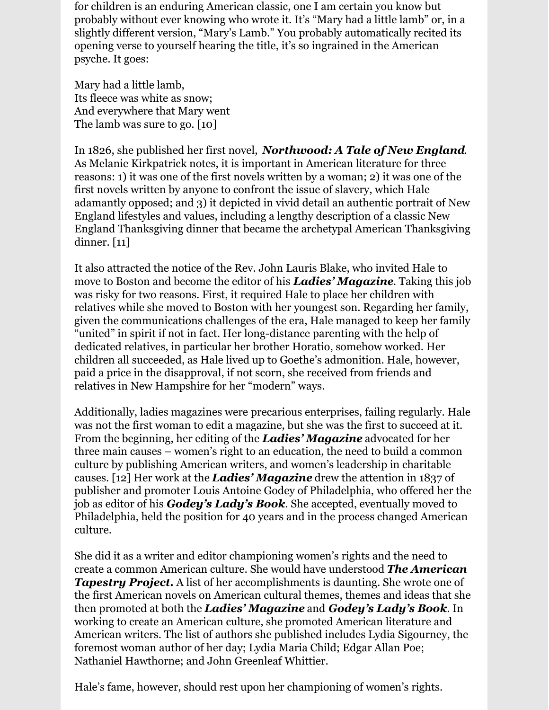for children is an enduring American classic, one I am certain you know but probably without ever knowing who wrote it. It's "Mary had a little lamb" or, in a slightly different version, "Mary's Lamb." You probably automatically recited its opening verse to yourself hearing the title, it's so ingrained in the American psyche. It goes:

Mary had a little lamb, Its fleece was white as snow; And everywhere that Mary went The lamb was sure to go. [10]

In 1826, she published her first novel, *Northwood: A Tale of New England*. As Melanie Kirkpatrick notes, it is important in American literature for three reasons: 1) it was one of the first novels written by a woman; 2) it was one of the first novels written by anyone to confront the issue of slavery, which Hale adamantly opposed; and 3) it depicted in vivid detail an authentic portrait of New England lifestyles and values, including a lengthy description of a classic New England Thanksgiving dinner that became the archetypal American Thanksgiving dinner. [11]

It also attracted the notice of the Rev. John Lauris Blake, who invited Hale to move to Boston and become the editor of his *Ladies' Magazine*. Taking this job was risky for two reasons. First, it required Hale to place her children with relatives while she moved to Boston with her youngest son. Regarding her family, given the communications challenges of the era, Hale managed to keep her family "united" in spirit if not in fact. Her long-distance parenting with the help of dedicated relatives, in particular her brother Horatio, somehow worked. Her children all succeeded, as Hale lived up to Goethe's admonition. Hale, however, paid a price in the disapproval, if not scorn, she received from friends and relatives in New Hampshire for her "modern" ways.

Additionally, ladies magazines were precarious enterprises, failing regularly. Hale was not the first woman to edit a magazine, but she was the first to succeed at it. From the beginning, her editing of the *Ladies' Magazine* advocated for her three main causes – women's right to an education, the need to build a common culture by publishing American writers, and women's leadership in charitable causes. [12] Her work at the *Ladies' Magazine* drew the attention in 1837 of publisher and promoter Louis Antoine Godey of Philadelphia, who offered her the job as editor of his *Godey's Lady's Book*. She accepted, eventually moved to Philadelphia, held the position for 40 years and in the process changed American culture.

She did it as a writer and editor championing women's rights and the need to create a common American culture. She would have understood *The American Tapestry Project.* A list of her accomplishments is daunting. She wrote one of the first American novels on American cultural themes, themes and ideas that she then promoted at both the *Ladies' Magazine* and *Godey's Lady's Book*. In working to create an American culture, she promoted American literature and American writers. The list of authors she published includes Lydia Sigourney, the foremost woman author of her day; Lydia Maria Child; Edgar Allan Poe; Nathaniel Hawthorne; and John Greenleaf Whittier.

Hale's fame, however, should rest upon her championing of women's rights.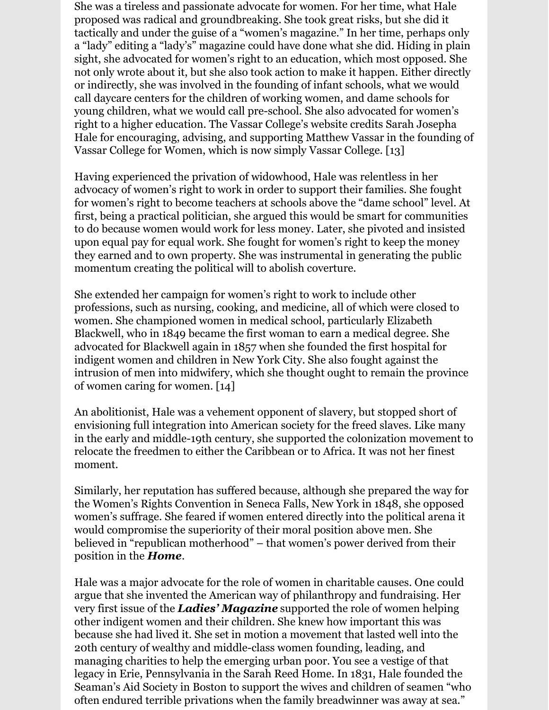She was a tireless and passionate advocate for women. For her time, what Hale proposed was radical and groundbreaking. She took great risks, but she did it tactically and under the guise of a "women's magazine." In her time, perhaps only a "lady" editing a "lady's" magazine could have done what she did. Hiding in plain sight, she advocated for women's right to an education, which most opposed. She not only wrote about it, but she also took action to make it happen. Either directly or indirectly, she was involved in the founding of infant schools, what we would call daycare centers for the children of working women, and dame schools for young children, what we would call pre-school. She also advocated for women's right to a higher education. The Vassar College's website credits Sarah Josepha Hale for encouraging, advising, and supporting Matthew Vassar in the founding of Vassar College for Women, which is now simply Vassar College. [13]

Having experienced the privation of widowhood, Hale was relentless in her advocacy of women's right to work in order to support their families. She fought for women's right to become teachers at schools above the "dame school" level. At first, being a practical politician, she argued this would be smart for communities to do because women would work for less money. Later, she pivoted and insisted upon equal pay for equal work. She fought for women's right to keep the money they earned and to own property. She was instrumental in generating the public momentum creating the political will to abolish coverture.

She extended her campaign for women's right to work to include other professions, such as nursing, cooking, and medicine, all of which were closed to women. She championed women in medical school, particularly Elizabeth Blackwell, who in 1849 became the first woman to earn a medical degree. She advocated for Blackwell again in 1857 when she founded the first hospital for indigent women and children in New York City. She also fought against the intrusion of men into midwifery, which she thought ought to remain the province of women caring for women. [14]

An abolitionist, Hale was a vehement opponent of slavery, but stopped short of envisioning full integration into American society for the freed slaves. Like many in the early and middle-19th century, she supported the colonization movement to relocate the freedmen to either the Caribbean or to Africa. It was not her finest moment.

Similarly, her reputation has suffered because, although she prepared the way for the Women's Rights Convention in Seneca Falls, New York in 1848, she opposed women's suffrage. She feared if women entered directly into the political arena it would compromise the superiority of their moral position above men. She believed in "republican motherhood" – that women's power derived from their position in the *Home*.

Hale was a major advocate for the role of women in charitable causes. One could argue that she invented the American way of philanthropy and fundraising. Her very first issue of the *Ladies' Magazine* supported the role of women helping other indigent women and their children. She knew how important this was because she had lived it. She set in motion a movement that lasted well into the 20th century of wealthy and middle-class women founding, leading, and managing charities to help the emerging urban poor. You see a vestige of that legacy in Erie, Pennsylvania in the Sarah Reed Home. In 1831, Hale founded the Seaman's Aid Society in Boston to support the wives and children of seamen "who often endured terrible privations when the family breadwinner was away at sea."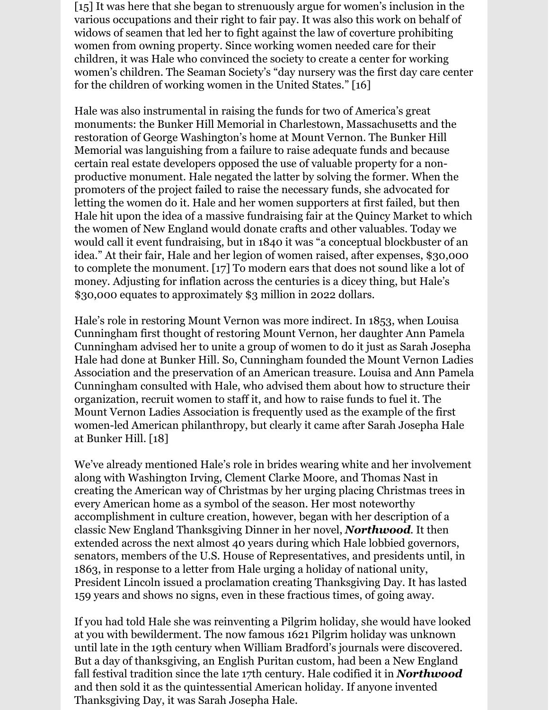[15] It was here that she began to strenuously argue for women's inclusion in the various occupations and their right to fair pay. It was also this work on behalf of widows of seamen that led her to fight against the law of coverture prohibiting women from owning property. Since working women needed care for their children, it was Hale who convinced the society to create a center for working women's children. The Seaman Society's "day nursery was the first day care center for the children of working women in the United States." [16]

Hale was also instrumental in raising the funds for two of America's great monuments: the Bunker Hill Memorial in Charlestown, Massachusetts and the restoration of George Washington's home at Mount Vernon. The Bunker Hill Memorial was languishing from a failure to raise adequate funds and because certain real estate developers opposed the use of valuable property for a nonproductive monument. Hale negated the latter by solving the former. When the promoters of the project failed to raise the necessary funds, she advocated for letting the women do it. Hale and her women supporters at first failed, but then Hale hit upon the idea of a massive fundraising fair at the Quincy Market to which the women of New England would donate crafts and other valuables. Today we would call it event fundraising, but in 1840 it was "a conceptual blockbuster of an idea." At their fair, Hale and her legion of women raised, after expenses, \$30,000 to complete the monument. [17] To modern ears that does not sound like a lot of money. Adjusting for inflation across the centuries is a dicey thing, but Hale's \$30,000 equates to approximately \$3 million in 2022 dollars.

Hale's role in restoring Mount Vernon was more indirect. In 1853, when Louisa Cunningham first thought of restoring Mount Vernon, her daughter Ann Pamela Cunningham advised her to unite a group of women to do it just as Sarah Josepha Hale had done at Bunker Hill. So, Cunningham founded the Mount Vernon Ladies Association and the preservation of an American treasure. Louisa and Ann Pamela Cunningham consulted with Hale, who advised them about how to structure their organization, recruit women to staff it, and how to raise funds to fuel it. The Mount Vernon Ladies Association is frequently used as the example of the first women-led American philanthropy, but clearly it came after Sarah Josepha Hale at Bunker Hill. [18]

We've already mentioned Hale's role in brides wearing white and her involvement along with Washington Irving, Clement Clarke Moore, and Thomas Nast in creating the American way of Christmas by her urging placing Christmas trees in every American home as a symbol of the season. Her most noteworthy accomplishment in culture creation, however, began with her description of a classic New England Thanksgiving Dinner in her novel, *Northwood*. It then extended across the next almost 40 years during which Hale lobbied governors, senators, members of the U.S. House of Representatives, and presidents until, in 1863, in response to a letter from Hale urging a holiday of national unity, President Lincoln issued a proclamation creating Thanksgiving Day. It has lasted 159 years and shows no signs, even in these fractious times, of going away.

If you had told Hale she was reinventing a Pilgrim holiday, she would have looked at you with bewilderment. The now famous 1621 Pilgrim holiday was unknown until late in the 19th century when William Bradford's journals were discovered. But a day of thanksgiving, an English Puritan custom, had been a New England fall festival tradition since the late 17th century. Hale codified it in *Northwood* and then sold it as the quintessential American holiday. If anyone invented Thanksgiving Day, it was Sarah Josepha Hale.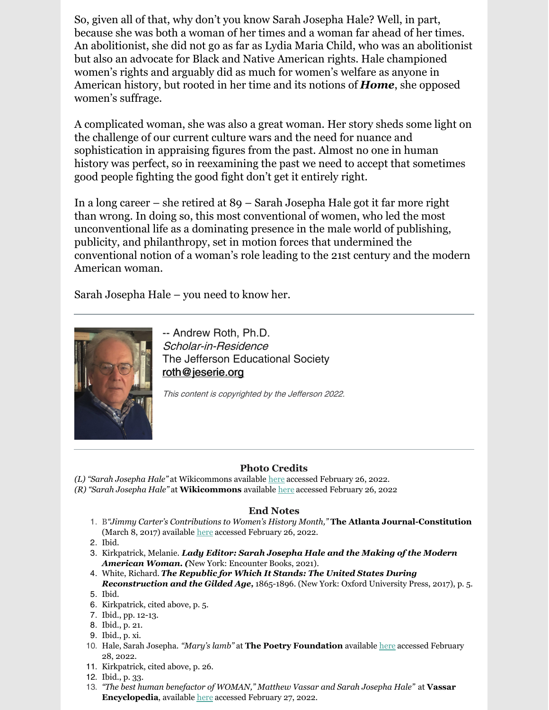So, given all of that, why don't you know Sarah Josepha Hale? Well, in part, because she was both a woman of her times and a woman far ahead of her times. An abolitionist, she did not go as far as Lydia Maria Child, who was an abolitionist but also an advocate for Black and Native American rights. Hale championed women's rights and arguably did as much for women's welfare as anyone in American history, but rooted in her time and its notions of *Home*, she opposed women's suffrage.

A complicated woman, she was also a great woman. Her story sheds some light on the challenge of our current culture wars and the need for nuance and sophistication in appraising figures from the past. Almost no one in human history was perfect, so in reexamining the past we need to accept that sometimes good people fighting the good fight don't get it entirely right.

In a long career – she retired at 89 – Sarah Josepha Hale got it far more right than wrong. In doing so, this most conventional of women, who led the most unconventional life as a dominating presence in the male world of publishing, publicity, and philanthropy, set in motion forces that undermined the conventional notion of a woman's role leading to the 21st century and the modern American woman.

Sarah Josepha Hale – you need to know her.



-- Andrew Roth, Ph.D. Scholar-in-Residence The Jefferson Educational Society [roth@jeserie.org](mailto:roth@jeserie.org)

This content is copyrighted by the Jefferson 2022.

#### **Photo Credits**

*(L) "Sarah Josepha Hale"* at Wikicommons available [here](https://commons.wikimedia.org/wiki/File:Sarah_Hale_portrait.jpg) accessed February 26, 2022.

*(R) "Sarah Josepha Hale"* at **Wikicommons** available [here](https://commons.wikimedia.org/wiki/File:Sarah_Hale_in_Godeys_Cropped.jpg) accessed February 26, 2022

#### **End Notes**

- 1. B*"Jimmy Carter's Contributions to Women's History Month,"* **The Atlanta Journal-Constitution** (March 8, 2017) available [here](https://www.ajc.com/news/jimmy-carter-contributions-women-history-month/kjj4RV13M66n3mlGmSRiiN/) accessed February 26, 2022.
- 2. Ibid.
- 3. Kirkpatrick, Melanie. *Lady Editor: Sarah Josepha Hale and the Making of the Modern American Woman. (*New York: Encounter Books, 2021).
- 4. White, Richard. *The Republic for Which It Stands: The United States During Reconstruction and the Gilded Age,* 1865-1896. (New York: Oxford University Press, 2017), p. 5.
- 5. Ibid.
- 6. Kirkpatrick, cited above, p. 5.
- 7. Ibid., pp. 12-13.
- 8. Ibid., p. 21.
- 9. Ibid., p. xi.
- 10. Hale, Sarah Josepha. *"Mary's lamb"* at **The Poetry Foundation** available [here](https://www.poetryfoundation.org/poems/46954/mary-had-a-little-lamb) accessed February 28, 2022.
- 11. Kirkpatrick, cited above, p. 26.
- 12. Ibid., p. 33.
- 13. *"The best human benefactor of WOMAN," Matthew Vassar and Sarah Josepha Hale"* at **Vassar Encyclopedia**, available [here](https://www.vassar.edu/vcencyclopedia/early-vassar/hale-vassar.html) accessed February 27, 2022.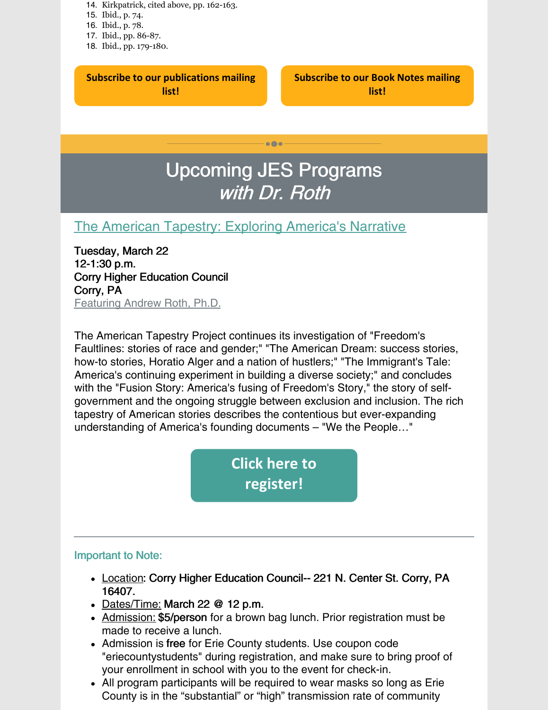- 14. Kirkpatrick, cited above, pp. 162-163.
- 15. Ibid., p. 74.
- 16. Ibid., p. 78.
- 17. Ibid., pp. 86-87.
- 18. Ibid., pp. 179-180.

#### **Subscribe to our [publications](https://lp.constantcontactpages.com/su/OYSOPRt/PublicationsSubscription?source_id=2714d4b4-019e-4b1c-b1e0-92102d40fa26&source_type=em&c=) mailing list!**

**[Subscribe](https://lp.constantcontactpages.com/su/TXbaxH2/BookNotesSubscription?source_id=2714d4b4-019e-4b1c-b1e0-92102d40fa26&source_type=em&c=) to our Book Notes mailing list!**

## Upcoming JES Programs with Dr. Roth

 $\bullet\bullet\bullet$ 

### The American Tapestry: Exploring [America's](https://www.jeserie.org/events/details/the-american-tapestry-exploring-americas-narrative) Narrative

Tuesday, March 22 12-1:30 p.m. Corry Higher Education Council Corry, PA Featuring Andrew Roth, Ph.D.

The American Tapestry Project continues its investigation of "Freedom's Faultlines: stories of race and gender;" "The American Dream: success stories, how-to stories, Horatio Alger and a nation of hustlers;" "The Immigrant's Tale: America's continuing experiment in building a diverse society;" and concludes with the "Fusion Story: America's fusing of Freedom's Story," the story of selfgovernment and the ongoing struggle between exclusion and inclusion. The rich tapestry of American stories describes the contentious but ever-expanding understanding of America's founding documents – "We the People…"

> **Click here to [register!](https://www.jeserie.org/events/details/the-american-tapestry-exploring-americas-narrative)**

#### Important to Note:

- Location: Corry Higher Education Council-- 221 N. Center St. Corry, PA 16407.
- Dates/Time: March 22 @ 12 p.m.
- Admission: \$5/person for a brown bag lunch. Prior registration must be made to receive a lunch.
- Admission is free for Erie County students. Use coupon code "eriecountystudents" during registration, and make sure to bring proof of your enrollment in school with you to the event for check-in.
- All program participants will be required to wear masks so long as Erie County is in the "substantial" or "high" transmission rate of community